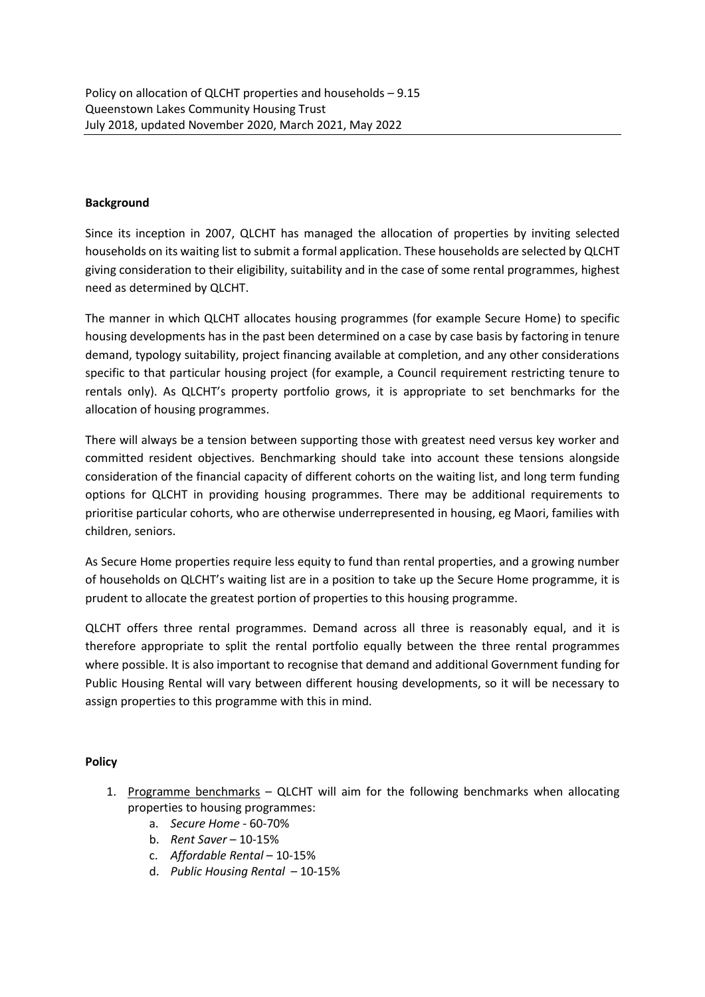## **Background**

Since its inception in 2007, QLCHT has managed the allocation of properties by inviting selected households on its waiting list to submit a formal application. These households are selected by QLCHT giving consideration to their eligibility, suitability and in the case of some rental programmes, highest need as determined by QLCHT.

The manner in which QLCHT allocates housing programmes (for example Secure Home) to specific housing developments has in the past been determined on a case by case basis by factoring in tenure demand, typology suitability, project financing available at completion, and any other considerations specific to that particular housing project (for example, a Council requirement restricting tenure to rentals only). As QLCHT's property portfolio grows, it is appropriate to set benchmarks for the allocation of housing programmes.

There will always be a tension between supporting those with greatest need versus key worker and committed resident objectives. Benchmarking should take into account these tensions alongside consideration of the financial capacity of different cohorts on the waiting list, and long term funding options for QLCHT in providing housing programmes. There may be additional requirements to prioritise particular cohorts, who are otherwise underrepresented in housing, eg Maori, families with children, seniors.

As Secure Home properties require less equity to fund than rental properties, and a growing number of households on QLCHT's waiting list are in a position to take up the Secure Home programme, it is prudent to allocate the greatest portion of properties to this housing programme.

QLCHT offers three rental programmes. Demand across all three is reasonably equal, and it is therefore appropriate to split the rental portfolio equally between the three rental programmes where possible. It is also important to recognise that demand and additional Government funding for Public Housing Rental will vary between different housing developments, so it will be necessary to assign properties to this programme with this in mind.

## **Policy**

- 1. Programme benchmarks QLCHT will aim for the following benchmarks when allocating properties to housing programmes:
	- a. *Secure Home* 60-70%
	- b. *Rent Saver* 10-15%
	- c. *Affordable Rental* 10-15%
	- d. *Public Housing Rental*  10-15%